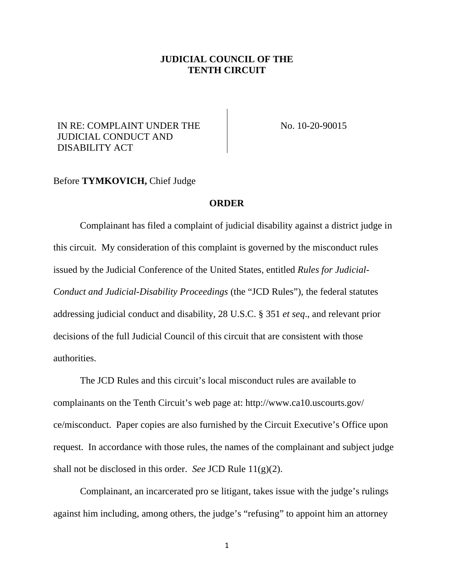## **JUDICIAL COUNCIL OF THE TENTH CIRCUIT**

## IN RE: COMPLAINT UNDER THE JUDICIAL CONDUCT AND DISABILITY ACT

No. 10-20-90015

## Before **TYMKOVICH,** Chief Judge

## **ORDER**

Complainant has filed a complaint of judicial disability against a district judge in this circuit. My consideration of this complaint is governed by the misconduct rules issued by the Judicial Conference of the United States, entitled *Rules for Judicial-Conduct and Judicial-Disability Proceedings* (the "JCD Rules"), the federal statutes addressing judicial conduct and disability, 28 U.S.C. § 351 *et seq*., and relevant prior decisions of the full Judicial Council of this circuit that are consistent with those authorities.

The JCD Rules and this circuit's local misconduct rules are available to complainants on the Tenth Circuit's web page at: http://www.ca10.uscourts.gov/ ce/misconduct. Paper copies are also furnished by the Circuit Executive's Office upon request. In accordance with those rules, the names of the complainant and subject judge shall not be disclosed in this order. *See* JCD Rule 11(g)(2).

Complainant, an incarcerated pro se litigant, takes issue with the judge's rulings against him including, among others, the judge's "refusing" to appoint him an attorney